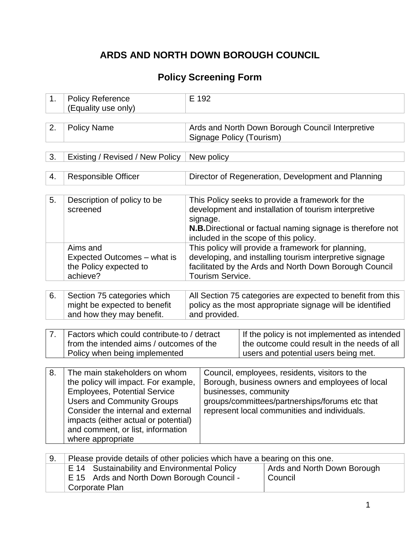# **ARDS AND NORTH DOWN BOROUGH COUNCIL**

## **Policy Screening Form**

| 1. | <b>Policy Reference</b><br>(Equality use only)                                                                                                                                                                                                                                            |                                                                                                                                                                                                    | E 192                                                                                                                                |                                                                                                                                                                                                                              |                                                                                                                                                                                                                  |  |  |  |
|----|-------------------------------------------------------------------------------------------------------------------------------------------------------------------------------------------------------------------------------------------------------------------------------------------|----------------------------------------------------------------------------------------------------------------------------------------------------------------------------------------------------|--------------------------------------------------------------------------------------------------------------------------------------|------------------------------------------------------------------------------------------------------------------------------------------------------------------------------------------------------------------------------|------------------------------------------------------------------------------------------------------------------------------------------------------------------------------------------------------------------|--|--|--|
| 2. | <b>Policy Name</b>                                                                                                                                                                                                                                                                        |                                                                                                                                                                                                    | Signage Policy (Tourism)                                                                                                             |                                                                                                                                                                                                                              | Ards and North Down Borough Council Interpretive                                                                                                                                                                 |  |  |  |
| 3. | Existing / Revised / New Policy                                                                                                                                                                                                                                                           |                                                                                                                                                                                                    | New policy                                                                                                                           |                                                                                                                                                                                                                              |                                                                                                                                                                                                                  |  |  |  |
| 4. | <b>Responsible Officer</b>                                                                                                                                                                                                                                                                |                                                                                                                                                                                                    |                                                                                                                                      |                                                                                                                                                                                                                              | Director of Regeneration, Development and Planning                                                                                                                                                               |  |  |  |
| 5. | Description of policy to be<br>screened                                                                                                                                                                                                                                                   |                                                                                                                                                                                                    | signage.                                                                                                                             |                                                                                                                                                                                                                              | This Policy seeks to provide a framework for the<br>development and installation of tourism interpretive<br>N.B. Directional or factual naming signage is therefore not<br>included in the scope of this policy. |  |  |  |
|    | Aims and<br>Expected Outcomes - what is<br>the Policy expected to<br>achieve?                                                                                                                                                                                                             | This policy will provide a framework for planning,<br>developing, and installing tourism interpretive signage<br>facilitated by the Ards and North Down Borough Council<br><b>Tourism Service.</b> |                                                                                                                                      |                                                                                                                                                                                                                              |                                                                                                                                                                                                                  |  |  |  |
| 6. | Section 75 categories which<br>might be expected to benefit<br>and how they may benefit.                                                                                                                                                                                                  | All Section 75 categories are expected to benefit from this<br>policy as the most appropriate signage will be identified<br>and provided.                                                          |                                                                                                                                      |                                                                                                                                                                                                                              |                                                                                                                                                                                                                  |  |  |  |
| 7. | Factors which could contribute to / detract<br>from the intended aims / outcomes of the<br>Policy when being implemented                                                                                                                                                                  |                                                                                                                                                                                                    | If the policy is not implemented as intended<br>the outcome could result in the needs of all<br>users and potential users being met. |                                                                                                                                                                                                                              |                                                                                                                                                                                                                  |  |  |  |
| 8. | The main stakeholders on whom<br>the policy will impact. For example,<br><b>Employees, Potential Service</b><br><b>Users and Community Groups</b><br>Consider the internal and external<br>impacts (either actual or potential)<br>and comment, or list, information<br>where appropriate |                                                                                                                                                                                                    |                                                                                                                                      | Council, employees, residents, visitors to the<br>Borough, business owners and employees of local<br>businesses, community<br>groups/committees/partnerships/forums etc that<br>represent local communities and individuals. |                                                                                                                                                                                                                  |  |  |  |
| 9. | Please provide details of other policies which have a bearing on this one.<br>E 14 Sustainability and Environmental Policy<br>Ards and North Down Borough Council -<br>E 15<br>Corporate Plan                                                                                             |                                                                                                                                                                                                    |                                                                                                                                      | Ards and North Down Borough<br>Council                                                                                                                                                                                       |                                                                                                                                                                                                                  |  |  |  |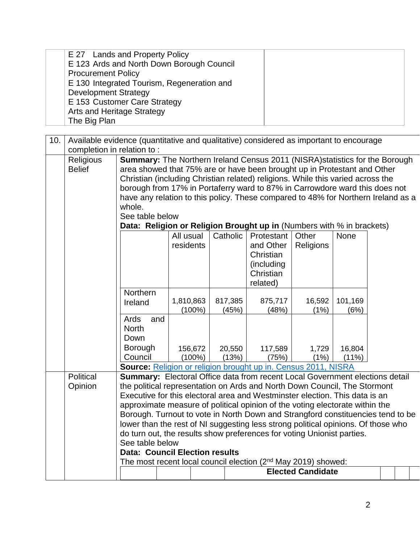| E 27 Lands and Property Policy             |  |
|--------------------------------------------|--|
| E 123 Ards and North Down Borough Council  |  |
| <b>Procurement Policy</b>                  |  |
| E 130 Integrated Tourism, Regeneration and |  |
| <b>Development Strategy</b>                |  |
| E 153 Customer Care Strategy               |  |
| <b>Arts and Heritage Strategy</b>          |  |
| The Big Plan                               |  |

| 10. |                            | Available evidence (quantitative and qualitative) considered as important to encourage |           |          |                    |                          |         |  |  |
|-----|----------------------------|----------------------------------------------------------------------------------------|-----------|----------|--------------------|--------------------------|---------|--|--|
|     | completion in relation to: |                                                                                        |           |          |                    |                          |         |  |  |
|     | Religious                  | <b>Summary:</b> The Northern Ireland Census 2011 (NISRA) statistics for the Borough    |           |          |                    |                          |         |  |  |
|     | <b>Belief</b>              | area showed that 75% are or have been brought up in Protestant and Other               |           |          |                    |                          |         |  |  |
|     |                            | Christian (including Christian related) religions. While this varied across the        |           |          |                    |                          |         |  |  |
|     |                            | borough from 17% in Portaferry ward to 87% in Carrowdore ward this does not            |           |          |                    |                          |         |  |  |
|     |                            | have any relation to this policy. These compared to 48% for Northern Ireland as a      |           |          |                    |                          |         |  |  |
|     |                            | whole.                                                                                 |           |          |                    |                          |         |  |  |
|     |                            | See table below                                                                        |           |          |                    |                          |         |  |  |
|     |                            | Data: Religion or Religion Brought up in (Numbers with % in brackets)                  |           |          |                    |                          |         |  |  |
|     |                            |                                                                                        | All usual | Catholic | Protestant   Other |                          | None    |  |  |
|     |                            |                                                                                        | residents |          | and Other          | Religions                |         |  |  |
|     |                            |                                                                                        |           |          | Christian          |                          |         |  |  |
|     |                            |                                                                                        |           |          | (including         |                          |         |  |  |
|     |                            |                                                                                        |           |          | Christian          |                          |         |  |  |
|     |                            |                                                                                        |           |          | related)           |                          |         |  |  |
|     |                            | Northern                                                                               |           |          |                    |                          |         |  |  |
|     |                            | Ireland                                                                                | 1,810,863 | 817,385  | 875,717            | 16,592                   | 101,169 |  |  |
|     |                            | Ards<br>and                                                                            | $(100\%)$ | (45%)    | (48%)              | (1%)                     | (6%)    |  |  |
|     |                            | <b>North</b>                                                                           |           |          |                    |                          |         |  |  |
|     |                            | Down                                                                                   |           |          |                    |                          |         |  |  |
|     |                            |                                                                                        |           |          |                    |                          |         |  |  |
|     |                            | Borough<br>Council                                                                     | 156,672   | 20,550   | 117,589            | 1,729                    | 16,804  |  |  |
|     |                            | Source: Religion or religion brought up in. Census 2011, NISRA                         | $(100\%)$ | (13%)    | (75%)              | (1%)                     | (11%)   |  |  |
|     | <b>Political</b>           | Summary: Electoral Office data from recent Local Government elections detail           |           |          |                    |                          |         |  |  |
|     | Opinion                    | the political representation on Ards and North Down Council, The Stormont              |           |          |                    |                          |         |  |  |
|     |                            | Executive for this electoral area and Westminster election. This data is an            |           |          |                    |                          |         |  |  |
|     |                            | approximate measure of political opinion of the voting electorate within the           |           |          |                    |                          |         |  |  |
|     |                            | Borough. Turnout to vote in North Down and Strangford constituencies tend to be        |           |          |                    |                          |         |  |  |
|     |                            | lower than the rest of NI suggesting less strong political opinions. Of those who      |           |          |                    |                          |         |  |  |
|     |                            | do turn out, the results show preferences for voting Unionist parties.                 |           |          |                    |                          |         |  |  |
|     |                            | See table below                                                                        |           |          |                    |                          |         |  |  |
|     |                            | <b>Data: Council Election results</b>                                                  |           |          |                    |                          |         |  |  |
|     |                            | The most recent local council election (2 <sup>nd</sup> May 2019) showed:              |           |          |                    |                          |         |  |  |
|     |                            |                                                                                        |           |          |                    | <b>Elected Candidate</b> |         |  |  |
|     |                            |                                                                                        |           |          |                    |                          |         |  |  |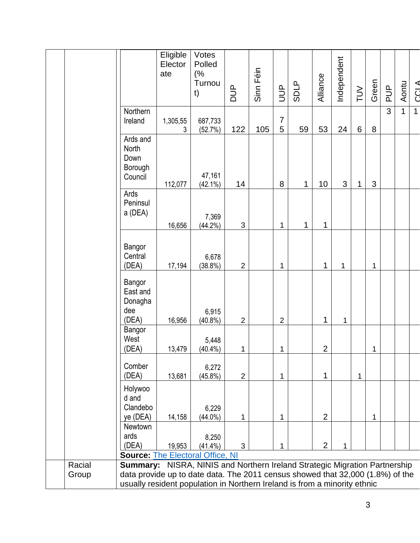|                 |                                                                                                                                                                                                                                           | Eligible<br>Elector<br>ate | Votes<br>Polled<br>(%<br>Turnou<br>t) | <b>AUD</b>     | Sinn Féin | $\exists$           | <b>SDLP</b> | Alliance       | Independent | $\geq$       | Green        | $\frac{p}{q}$ | Aontu        | <b>CCLA</b>  |
|-----------------|-------------------------------------------------------------------------------------------------------------------------------------------------------------------------------------------------------------------------------------------|----------------------------|---------------------------------------|----------------|-----------|---------------------|-------------|----------------|-------------|--------------|--------------|---------------|--------------|--------------|
|                 | Northern<br>Ireland                                                                                                                                                                                                                       | 1,305,55<br>3              | 687,733<br>(52.7%)                    | 122            | 105       | $\overline{7}$<br>5 | 59          | 53             | 24          | 6            | 8            | 3             | $\mathbf{1}$ | $\mathbf{1}$ |
|                 | Ards and<br>North<br>Down<br>Borough<br>Council                                                                                                                                                                                           | 112,077                    | 47,161<br>$(42.1\%)$                  | 14             |           | 8                   | 1           | 10             | 3           | 1            | $\mathbf{3}$ |               |              |              |
|                 | Ards<br>Peninsul<br>a (DEA)                                                                                                                                                                                                               | 16,656                     | 7,369<br>$(44.2\%)$                   | $\mathfrak{S}$ |           | 1                   | 1           | 1              |             |              |              |               |              |              |
|                 | Bangor<br>Central<br>(DEA)                                                                                                                                                                                                                | 17,194                     | 6,678<br>(38.8%)                      | $\overline{2}$ |           | 1                   |             | 1              | 1           |              | 1            |               |              |              |
|                 | Bangor<br>East and<br>Donagha<br>dee<br>(DEA)                                                                                                                                                                                             | 16,956                     | 6,915<br>$(40.8\%)$                   | $\overline{2}$ |           | $\overline{2}$      |             | 1              | 1           |              |              |               |              |              |
|                 | Bangor<br>West<br>(DEA)                                                                                                                                                                                                                   | 13,479                     | 5,448<br>$(40.4\%)$                   | 1              |           | 1                   |             | $\overline{2}$ |             |              | 1            |               |              |              |
|                 | Comber<br>(DEA)                                                                                                                                                                                                                           | 13,681                     | 6,272<br>$(45.8\%)$                   | $\overline{2}$ |           | 1                   |             | 1              |             | $\mathbf{1}$ |              |               |              |              |
|                 | Holywoo<br>d and<br>Clandebo<br>ye (DEA)                                                                                                                                                                                                  | 14,158                     | 6,229<br>$(44.0\%)$                   | 1              |           | 1                   |             | $\overline{2}$ |             |              | 1            |               |              |              |
|                 | Newtown<br>ards<br>(DEA)<br><b>Source: The Electoral Office, NI</b>                                                                                                                                                                       | 19,953                     | 8,250<br>$(41.4\%)$                   | 3              |           | 1                   |             | $\overline{2}$ | 1           |              |              |               |              |              |
| Racial<br>Group | Summary: NISRA, NINIS and Northern Ireland Strategic Migration Partnership<br>data provide up to date data. The 2011 census showed that 32,000 (1.8%) of the<br>usually resident population in Northern Ireland is from a minority ethnic |                            |                                       |                |           |                     |             |                |             |              |              |               |              |              |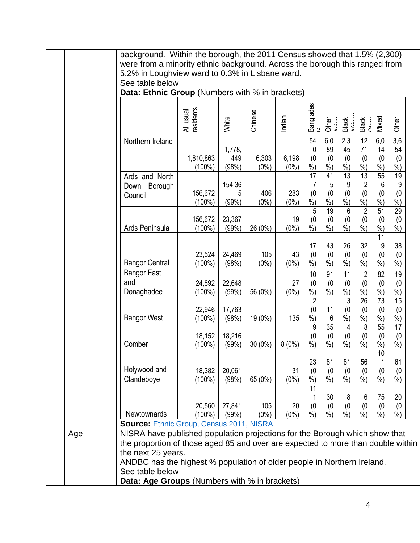|                                           | All usual<br>residents | White                  | Chinese          | Indian           | <b>Banglades</b>                | Other                      | Black                                  | Black                                         | Mixed                                  | Other                              |
|-------------------------------------------|------------------------|------------------------|------------------|------------------|---------------------------------|----------------------------|----------------------------------------|-----------------------------------------------|----------------------------------------|------------------------------------|
| Northern Ireland                          | 1,810,863<br>$(100\%)$ | 1,778,<br>449<br>(98%) | 6,303<br>$(0\%)$ | 6,198<br>$(0\%)$ | 54<br>0<br>(0)<br>%             | 6,0<br>89<br>(0)<br>$%$ )  | 2,3<br>45<br>(0)<br>$%$ )              | 12<br>71<br>(0)<br>%                          | 6,0<br>14<br>(0)<br>$%$ )              | $\overline{3,6}$<br>54<br>(0)<br>% |
| Ards and North<br>Down Borough<br>Council | 156,672<br>$(100\%)$   | 154,36<br>5<br>(99%)   | 406<br>$(0\%)$   | 283<br>$(0\%)$   | 17<br>7<br>(0)<br>$%$ )         | 41<br>5<br>(0)<br>$%$ )    | $\overline{13}$<br>9<br>(0)<br>$%$ )   | $\overline{13}$<br>$\overline{2}$<br>(0)<br>% | 55<br>6<br>(0)<br>$%$ )                | 19<br>9<br>(0)<br>$%$ )            |
| Ards Peninsula                            | 156,672<br>$(100\%)$   | 23,367<br>(99%)        | 26 (0%)          | 19<br>$(0\%)$    | 5<br>(0)<br>$%$ )               | 19<br>(0)<br>$%$ )         | 6<br>(0)<br>$%$ )                      | $\overline{2}$<br>(0)<br>$\%$ )               | 51<br>(0)<br>$%$ )<br>11               | 29<br>(0)<br>$%$ )                 |
| <b>Bangor Central</b>                     | 23,524<br>$(100\%)$    | 24,469<br>(98%)        | 105<br>$(0\%)$   | 43<br>$(0\%)$    | 17<br>(0)<br>$%$ )              | 43<br>(0)<br>$%$ )         | 26<br>(0)<br>$%$ )                     | 32<br>(0)<br>$%$ )                            | 9<br>(0)<br>$%$ )                      | 38<br>(0)<br>$%$ )                 |
| <b>Bangor East</b><br>and<br>Donaghadee   | 24,892<br>$(100\%)$    | 22,648<br>(99%)        | 56 (0%)          | 27<br>$(0\%)$    | 10<br>(0)<br>$%$ )              | 91<br>(0)<br>$%$ )         | 11<br>(0)<br>$\overline{\frac{9}{6}})$ | $\overline{2}$<br>(0)<br>$\frac{9}{6}$        | 82<br>(0)<br>$%$ )                     | 19<br>(0)<br>$%$ )                 |
| <b>Bangor West</b>                        | 22,946<br>$(100\%)$    | 17,763<br>(98%)        | 19 (0%)          | 135              | $\overline{2}$<br>(0)<br>%<br>9 | 11<br>6<br>$\overline{35}$ | 3<br>(0)<br>%<br>4                     | $\overline{26}$<br>(0)<br>%<br>8              | 73<br>(0)<br>$%$ )<br>55               | $\overline{15}$<br>(0)<br>%<br>17  |
| Comber                                    | 18,152<br>(100%)       | 18,216<br>(99%)        | $30(0\%)$        | 8(0%)            | (0)<br>$\dot{\%}$               | (0)<br>$\dot{\%}$          | $^{(0}_{%)}$                           | (0)<br>$\dot{\%})$                            | (0)<br>$\overline{\frac{9}{6}})$<br>10 | (0)<br>$\dot{\%})$                 |
| Holywood and<br>Clandeboye                | 18,382<br>$(100\%)$    | 20,061<br>(98%)        | 65 (0%)          | 31<br>$(0\%)$    | 23<br>(0)<br>$\frac{9}{6}$      | 81<br>(0)<br>$%$ )         | 81<br>(0)<br>$\frac{9}{6}$             | 56<br>(0)<br>$\frac{9}{6}$                    | 1<br>(0)<br>$%$ )                      | 61<br>(0)<br>$\frac{9}{6}$         |
|                                           | 20,560                 | 27,841<br>(99%)        | 105<br>$(0\%)$   | 20<br>$(0\%)$    | 11<br>(0)<br>$\frac{9}{0}$      | 30<br>(0)<br>$%$ )         | 8<br>(0)<br>$%$ )                      | 6<br>(0)<br>$%$ )                             | 75<br>(0)<br>$%$ )                     | 20<br>(0)<br>$%$ )                 |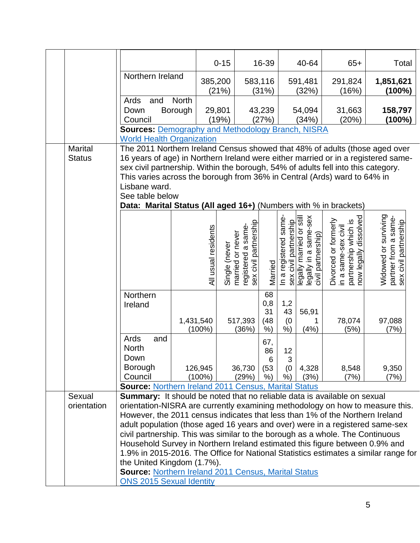|                                 |                                                                                                                                                                                                                                                                                                                                                                                                                                                                                                                                                                                                                                       |                        | $0 - 15$                          |                                             | 16-39                            |                                                | 40-64                                                                   |                                             | $65+$                                         | Total                                                                 |
|---------------------------------|---------------------------------------------------------------------------------------------------------------------------------------------------------------------------------------------------------------------------------------------------------------------------------------------------------------------------------------------------------------------------------------------------------------------------------------------------------------------------------------------------------------------------------------------------------------------------------------------------------------------------------------|------------------------|-----------------------------------|---------------------------------------------|----------------------------------|------------------------------------------------|-------------------------------------------------------------------------|---------------------------------------------|-----------------------------------------------|-----------------------------------------------------------------------|
|                                 | Northern Ireland                                                                                                                                                                                                                                                                                                                                                                                                                                                                                                                                                                                                                      | 385,200                |                                   |                                             | 583,116                          |                                                | 591,481                                                                 | 291,824                                     |                                               | 1,851,621                                                             |
|                                 |                                                                                                                                                                                                                                                                                                                                                                                                                                                                                                                                                                                                                                       |                        | (21%)                             |                                             | (31%)                            |                                                | (32%)                                                                   |                                             | (16%)                                         | (100%)                                                                |
|                                 | Ards<br>and                                                                                                                                                                                                                                                                                                                                                                                                                                                                                                                                                                                                                           | <b>North</b>           |                                   |                                             |                                  |                                                |                                                                         |                                             |                                               |                                                                       |
|                                 | Borough<br>Down                                                                                                                                                                                                                                                                                                                                                                                                                                                                                                                                                                                                                       |                        | 29,801                            |                                             | 43,239                           |                                                | 54,094                                                                  |                                             | 31,663                                        | 158,797                                                               |
|                                 | Council<br><b>Sources: Demography and Methodology Branch, NISRA</b>                                                                                                                                                                                                                                                                                                                                                                                                                                                                                                                                                                   |                        | (19%)                             |                                             | (27%)                            |                                                | (34%)                                                                   |                                             | (20%)                                         | $(100\%)$                                                             |
|                                 | <b>World Health Organization</b>                                                                                                                                                                                                                                                                                                                                                                                                                                                                                                                                                                                                      |                        |                                   |                                             |                                  |                                                |                                                                         |                                             |                                               |                                                                       |
| <b>Marital</b><br><b>Status</b> | The 2011 Northern Ireland Census showed that 48% of adults (those aged over<br>16 years of age) in Northern Ireland were either married or in a registered same-<br>sex civil partnership. Within the borough, 54% of adults fell into this category.<br>This varies across the borough from 36% in Central (Ards) ward to 64% in<br>Lisbane ward.<br>See table below                                                                                                                                                                                                                                                                 |                        |                                   |                                             |                                  |                                                |                                                                         |                                             |                                               |                                                                       |
|                                 | Data: Marital Status (All aged 16+) (Numbers with % in brackets)                                                                                                                                                                                                                                                                                                                                                                                                                                                                                                                                                                      |                        |                                   |                                             |                                  |                                                |                                                                         |                                             |                                               |                                                                       |
|                                 |                                                                                                                                                                                                                                                                                                                                                                                                                                                                                                                                                                                                                                       | All usual residents    | married or never<br>Single (never | sex civil partnership<br>registered a same- | Married                          | In a registered same-<br>sex civil partnership | legally married or still<br>legally in a same-sex<br>civil partnership) | Divorced or formerly<br>in a same-sex civil | partnership which is<br>now legally dissolved | Widowed or surviving<br>partner from a same-<br>sex civil partnership |
|                                 | Northern<br>Ireland                                                                                                                                                                                                                                                                                                                                                                                                                                                                                                                                                                                                                   | 1,431,540<br>$(100\%)$ | 517,393                           | (36%)                                       | 68<br>0,8<br>31<br>(48)<br>$%$ ) | 1,2<br>43<br>(0)<br>%                          | 56,91<br>1<br>(4% )                                                     |                                             | 78,074<br>(5%)                                | 97,088<br>(7%)                                                        |
|                                 | Ards<br>and<br><b>North</b><br>Down<br><b>Borough</b><br>Council<br><b>Source: Northern Ireland 2011 Census, Marital Status</b>                                                                                                                                                                                                                                                                                                                                                                                                                                                                                                       | 126,945<br>$(100\%)$   |                                   | 36,730<br>(29%)                             | 67,<br>86<br>6<br>(53)<br>%)     | 12<br>3<br>(0)<br>$%$ )                        | 4,328<br>(3%)                                                           |                                             | 8,548<br>(7%)                                 | 9,350<br>(7%)                                                         |
| Sexual                          | <b>Summary:</b> It should be noted that no reliable data is available on sexual                                                                                                                                                                                                                                                                                                                                                                                                                                                                                                                                                       |                        |                                   |                                             |                                  |                                                |                                                                         |                                             |                                               |                                                                       |
| orientation                     | orientation-NISRA are currently examining methodology on how to measure this.<br>However, the 2011 census indicates that less than 1% of the Northern Ireland<br>adult population (those aged 16 years and over) were in a registered same-sex<br>civil partnership. This was similar to the borough as a whole. The Continuous<br>Household Survey in Northern Ireland estimated this figure between 0.9% and<br>1.9% in 2015-2016. The Office for National Statistics estimates a similar range for<br>the United Kingdom (1.7%).<br><b>Source: Northern Ireland 2011 Census, Marital Status</b><br><b>ONS 2015 Sexual Identity</b> |                        |                                   |                                             |                                  |                                                |                                                                         |                                             |                                               |                                                                       |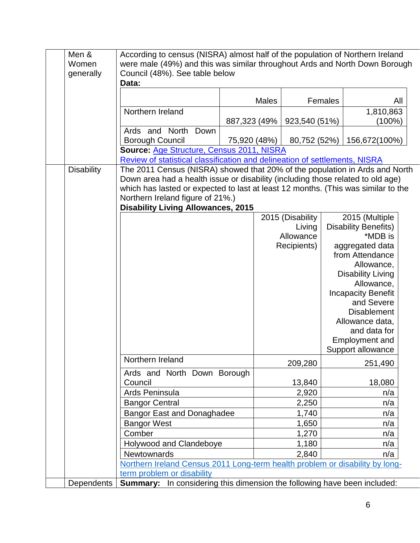| Men &<br>Women    | According to census (NISRA) almost half of the population of Northern Ireland<br>were male (49%) and this was similar throughout Ards and North Down Borough |              |              |                  |         |                             |     |
|-------------------|--------------------------------------------------------------------------------------------------------------------------------------------------------------|--------------|--------------|------------------|---------|-----------------------------|-----|
| generally         | Council (48%). See table below<br>Data:                                                                                                                      |              |              |                  |         |                             |     |
|                   |                                                                                                                                                              |              |              |                  |         |                             |     |
|                   |                                                                                                                                                              |              | <b>Males</b> |                  | Females |                             | All |
|                   | Northern Ireland                                                                                                                                             |              |              |                  |         | 1,810,863                   |     |
|                   |                                                                                                                                                              | 887,323 (49% |              | 923,540 (51%)    |         | (100%)                      |     |
|                   | Ards and North<br>Down                                                                                                                                       |              |              |                  |         |                             |     |
|                   | <b>Borough Council</b>                                                                                                                                       | 75,920 (48%) |              | 80,752 (52%)     |         | 156,672(100%)               |     |
|                   | Source: Age Structure, Census 2011, NISRA                                                                                                                    |              |              |                  |         |                             |     |
|                   | Review of statistical classification and delineation of settlements, NISRA                                                                                   |              |              |                  |         |                             |     |
| <b>Disability</b> | The 2011 Census (NISRA) showed that 20% of the population in Ards and North                                                                                  |              |              |                  |         |                             |     |
|                   | Down area had a health issue or disability (including those related to old age)                                                                              |              |              |                  |         |                             |     |
|                   | which has lasted or expected to last at least 12 months. (This was similar to the                                                                            |              |              |                  |         |                             |     |
|                   | Northern Ireland figure of 21%.)                                                                                                                             |              |              |                  |         |                             |     |
|                   | <b>Disability Living Allowances, 2015</b>                                                                                                                    |              |              | 2015 (Disability |         | 2015 (Multiple              |     |
|                   |                                                                                                                                                              |              |              | Living           |         | <b>Disability Benefits)</b> |     |
|                   |                                                                                                                                                              |              |              | Allowance        |         | *MDB is                     |     |
|                   |                                                                                                                                                              |              |              | Recipients)      |         | aggregated data             |     |
|                   |                                                                                                                                                              |              |              |                  |         | from Attendance             |     |
|                   |                                                                                                                                                              |              |              |                  |         | Allowance,                  |     |
|                   |                                                                                                                                                              |              |              |                  |         | <b>Disability Living</b>    |     |
|                   |                                                                                                                                                              |              |              |                  |         | Allowance,                  |     |
|                   |                                                                                                                                                              |              |              |                  |         | <b>Incapacity Benefit</b>   |     |
|                   |                                                                                                                                                              |              |              |                  |         | and Severe                  |     |
|                   |                                                                                                                                                              |              |              |                  |         | <b>Disablement</b>          |     |
|                   |                                                                                                                                                              |              |              |                  |         | Allowance data,             |     |
|                   |                                                                                                                                                              |              |              |                  |         | and data for                |     |
|                   |                                                                                                                                                              |              |              |                  |         | <b>Employment and</b>       |     |
|                   |                                                                                                                                                              |              |              |                  |         | Support allowance           |     |
|                   | Northern Ireland                                                                                                                                             |              |              | 209,280          |         | 251,490                     |     |
|                   | Ards and North Down Borough                                                                                                                                  |              |              |                  |         |                             |     |
|                   | Council                                                                                                                                                      |              |              | 13,840           |         | 18,080                      |     |
|                   | Ards Peninsula                                                                                                                                               |              |              | 2,920            |         | n/a                         |     |
|                   | <b>Bangor Central</b>                                                                                                                                        |              |              | 2,250            |         | n/a                         |     |
|                   | <b>Bangor East and Donaghadee</b>                                                                                                                            |              |              | 1,740            |         | n/a                         |     |
|                   | <b>Bangor West</b>                                                                                                                                           |              |              | 1,650            |         | n/a                         |     |
|                   | Comber                                                                                                                                                       |              |              | 1,270            |         | n/a                         |     |
|                   | Holywood and Clandeboye                                                                                                                                      |              |              | 1,180            |         | n/a                         |     |
|                   | <b>Newtownards</b>                                                                                                                                           |              |              | 2,840            |         | n/a                         |     |
|                   | Northern Ireland Census 2011 Long-term health problem or disability by long-                                                                                 |              |              |                  |         |                             |     |
|                   | term problem or disability                                                                                                                                   |              |              |                  |         |                             |     |
| Dependents        | <b>Summary:</b> In considering this dimension the following have been included:                                                                              |              |              |                  |         |                             |     |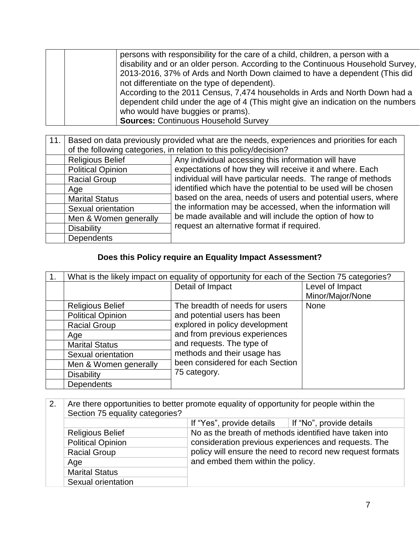| persons with responsibility for the care of a child, children, a person with a   |
|----------------------------------------------------------------------------------|
| disability and or an older person. According to the Continuous Household Survey, |
| 2013-2016, 37% of Ards and North Down claimed to have a dependent (This did      |
| not differentiate on the type of dependent).                                     |
| According to the 2011 Census, 7,474 households in Ards and North Down had a      |
| dependent child under the age of 4 (This might give an indication on the numbers |
| who would have buggies or prams).                                                |
| <b>Sources: Continuous Household Survey</b>                                      |

| 11.1 |                          | Based on data previously provided what are the needs, experiences and priorities for each |
|------|--------------------------|-------------------------------------------------------------------------------------------|
|      |                          | of the following categories, in relation to this policy/decision?                         |
|      | <b>Religious Belief</b>  | Any individual accessing this information will have                                       |
|      | <b>Political Opinion</b> | expectations of how they will receive it and where. Each                                  |
|      | <b>Racial Group</b>      | individual will have particular needs. The range of methods                               |
|      | Age                      | identified which have the potential to be used will be chosen                             |
|      | <b>Marital Status</b>    | based on the area, needs of users and potential users, where                              |
|      | Sexual orientation       | the information may be accessed, when the information will                                |
|      | Men & Women generally    | be made available and will include the option of how to                                   |
|      | <b>Disability</b>        | request an alternative format if required.                                                |
|      | <b>Dependents</b>        |                                                                                           |

# **Does this Policy require an Equality Impact Assessment?**

|                          | What is the likely impact on equality of opportunity for each of the Section 75 categories? |                  |
|--------------------------|---------------------------------------------------------------------------------------------|------------------|
|                          | Detail of Impact                                                                            | Level of Impact  |
|                          |                                                                                             | Minor/Major/None |
| <b>Religious Belief</b>  | The breadth of needs for users                                                              | <b>None</b>      |
| <b>Political Opinion</b> | and potential users has been                                                                |                  |
| <b>Racial Group</b>      | explored in policy development                                                              |                  |
| Age                      | and from previous experiences                                                               |                  |
| <b>Marital Status</b>    | and requests. The type of                                                                   |                  |
| Sexual orientation       | methods and their usage has                                                                 |                  |
| Men & Women generally    | been considered for each Section                                                            |                  |
| <b>Disability</b>        | 75 category.                                                                                |                  |
| <b>Dependents</b>        |                                                                                             |                  |

| 2. | Are there opportunities to better promote equality of opportunity for people within the<br>Section 75 equality categories? |                                                                                                                |  |  |  |  |  |  |
|----|----------------------------------------------------------------------------------------------------------------------------|----------------------------------------------------------------------------------------------------------------|--|--|--|--|--|--|
|    |                                                                                                                            | If "Yes", provide details $\parallel$ If "No", provide details                                                 |  |  |  |  |  |  |
|    | <b>Religious Belief</b>                                                                                                    | No as the breath of methods identified have taken into<br>consideration previous experiences and requests. The |  |  |  |  |  |  |
|    | <b>Political Opinion</b>                                                                                                   |                                                                                                                |  |  |  |  |  |  |
|    | <b>Racial Group</b>                                                                                                        | policy will ensure the need to record new request formats                                                      |  |  |  |  |  |  |
|    | Age                                                                                                                        | and embed them within the policy.                                                                              |  |  |  |  |  |  |
|    | <b>Marital Status</b>                                                                                                      |                                                                                                                |  |  |  |  |  |  |
|    | Sexual orientation                                                                                                         |                                                                                                                |  |  |  |  |  |  |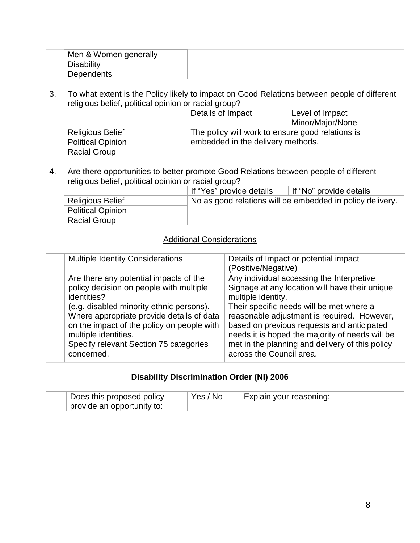| Men & Women generally         |  |
|-------------------------------|--|
| Dieobility<br><b>DISADIII</b> |  |
| <b>Dependents</b>             |  |

3. To what extent is the Policy likely to impact on Good Relations between people of different religious belief, political opinion or racial group? Details of Impact Level of Impact Minor/Major/None Religious Belief The policy will work to ensure good relations is Political Opinion embedded in the delivery methods. Racial Group

| 4. | Are there opportunities to better promote Good Relations between people of different<br>religious belief, political opinion or racial group? |                                                           |  |  |
|----|----------------------------------------------------------------------------------------------------------------------------------------------|-----------------------------------------------------------|--|--|
|    |                                                                                                                                              | If "Yes" provide details<br>If "No" provide details       |  |  |
|    | <b>Religious Belief</b>                                                                                                                      | No as good relations will be embedded in policy delivery. |  |  |
|    | <b>Political Opinion</b>                                                                                                                     |                                                           |  |  |
|    |                                                                                                                                              |                                                           |  |  |

## Additional Considerations

|  | <b>Multiple Identity Considerations</b>                                                                                                                                                                                                                                                                                 | Details of Impact or potential impact<br>(Positive/Negative)                                                                                                                                                                                                                                                                                                                                 |
|--|-------------------------------------------------------------------------------------------------------------------------------------------------------------------------------------------------------------------------------------------------------------------------------------------------------------------------|----------------------------------------------------------------------------------------------------------------------------------------------------------------------------------------------------------------------------------------------------------------------------------------------------------------------------------------------------------------------------------------------|
|  | Are there any potential impacts of the<br>policy decision on people with multiple<br>identities?<br>(e.g. disabled minority ethnic persons).<br>Where appropriate provide details of data<br>on the impact of the policy on people with<br>multiple identities.<br>Specify relevant Section 75 categories<br>concerned. | Any individual accessing the Interpretive<br>Signage at any location will have their unique<br>multiple identity.<br>Their specific needs will be met where a<br>reasonable adjustment is required. However,<br>based on previous requests and anticipated<br>needs it is hoped the majority of needs will be<br>met in the planning and delivery of this policy<br>across the Council area. |

#### **Disability Discrimination Order (NI) 2006**

| Does this proposed policy  | Yes / No | Explain your reasoning: |
|----------------------------|----------|-------------------------|
| provide an opportunity to: |          |                         |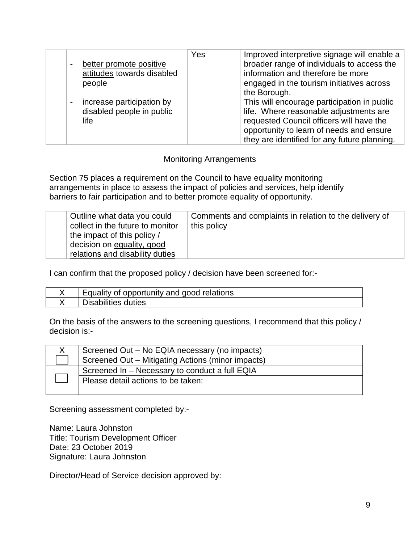|                                             | Yes | Improved interpretive signage will enable a  |
|---------------------------------------------|-----|----------------------------------------------|
| better promote positive                     |     | broader range of individuals to access the   |
| attitudes towards disabled                  |     | information and therefore be more            |
| people                                      |     | engaged in the tourism initiatives across    |
|                                             |     | the Borough.                                 |
| increase participation by<br>$\blacksquare$ |     | This will encourage participation in public  |
| disabled people in public                   |     | life. Where reasonable adjustments are       |
| life                                        |     | requested Council officers will have the     |
|                                             |     | opportunity to learn of needs and ensure     |
|                                             |     | they are identified for any future planning. |

#### Monitoring Arrangements

Section 75 places a requirement on the Council to have equality monitoring arrangements in place to assess the impact of policies and services, help identify barriers to fair participation and to better promote equality of opportunity.

| Outline what data you could<br>collect in the future to monitor<br>the impact of this policy /<br>decision on equality, good<br>relations and disability duties | Comments and complaints in relation to the delivery of<br>this policy |
|-----------------------------------------------------------------------------------------------------------------------------------------------------------------|-----------------------------------------------------------------------|
|-----------------------------------------------------------------------------------------------------------------------------------------------------------------|-----------------------------------------------------------------------|

I can confirm that the proposed policy / decision have been screened for:-

| Equality of opportunity and good relations |
|--------------------------------------------|
| Disabilities duties                        |

On the basis of the answers to the screening questions, I recommend that this policy / decision is:-

| Screened Out - No EQIA necessary (no impacts)     |
|---------------------------------------------------|
| Screened Out – Mitigating Actions (minor impacts) |
| Screened In - Necessary to conduct a full EQIA    |
| Please detail actions to be taken:                |
|                                                   |

Screening assessment completed by:-

Name: Laura Johnston Title: Tourism Development Officer Date: 23 October 2019 Signature: Laura Johnston

Director/Head of Service decision approved by: